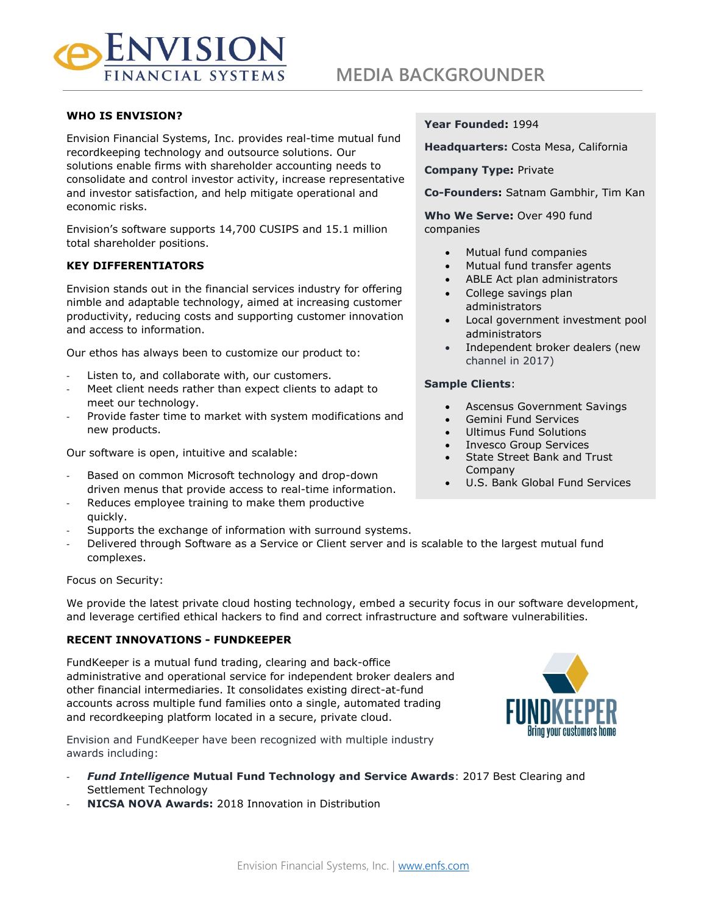

## **WHO IS ENVISION?**

Envision Financial Systems, Inc. provides real-time mutual fund recordkeeping technology and outsource solutions. Our solutions enable firms with shareholder accounting needs to consolidate and control investor activity, increase representative and investor satisfaction, and help mitigate operational and economic risks.

Envision's software supports 14,700 CUSIPS and 15.1 million total shareholder positions.

## **KEY DIFFERENTIATORS**

Envision stands out in the financial services industry for offering nimble and adaptable technology, aimed at increasing customer productivity, reducing costs and supporting customer innovation and access to information.

Our ethos has always been to customize our product to:

- Listen to, and collaborate with, our customers.
- Meet client needs rather than expect clients to adapt to meet our technology.
- Provide faster time to market with system modifications and new products.

Our software is open, intuitive and scalable:

- Based on common Microsoft technology and drop-down driven menus that provide access to real-time information.
- Reduces employee training to make them productive quickly.
- Supports the exchange of information with surround systems.
- Delivered through Software as a Service or Client server and is scalable to the largest mutual fund complexes.

Focus on Security:

We provide the latest private cloud hosting technology, embed a security focus in our software development, and leverage certified ethical hackers to find and correct infrastructure and software vulnerabilities.

### **RECENT INNOVATIONS - FUNDKEEPER**

FundKeeper is a mutual fund trading, clearing and back-office administrative and operational service for independent broker dealers and other financial intermediaries. It consolidates existing direct-at-fund accounts across multiple fund families onto a single, automated trading and recordkeeping platform located in a secure, private cloud.

Envision and FundKeeper have been recognized with multiple industry awards including:

- *Fund Intelligence* **Mutual Fund Technology and Service Awards**: 2017 Best Clearing and Settlement Technology
- **NICSA NOVA Awards:** 2018 Innovation in Distribution

#### **Year Founded:** 1994

**Headquarters:** Costa Mesa, California

**Company Type:** Private

**Co-Founders:** Satnam Gambhir, Tim Kan

**Who We Serve:** Over 490 fund companies

- Mutual fund companies
- Mutual fund transfer agents
- ABLE Act plan administrators
- College savings plan administrators
- Local government investment pool administrators
- Independent broker dealers (new channel in 2017)

#### **Sample Clients**:

- Ascensus Government Savings
- Gemini Fund Services
- Ultimus Fund Solutions
- Invesco Group Services
- State Street Bank and Trust Company
- U.S. Bank Global Fund Services